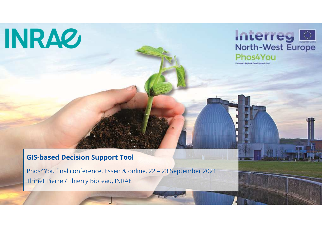# **INRA2**



### **GIS-based Decision Support Tool**

Phos4You final conference, Essen & online, 22 – 23 September 2021 Thiriet Pierre / Thierry Bioteau, INRAE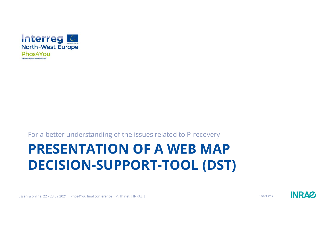

#### For a better understanding of the issues related to P-recovery

# **PRESENTATION OF A WEB MAP DECISION-SUPPORT-TOOL (DST)**



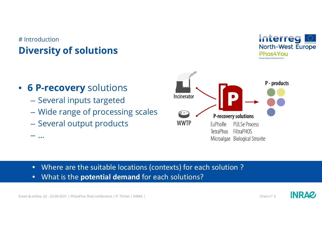## # Introduction**Diversity of solutions**



- $-$  Several inputs targeted
- Wide range of processing scales
- $\hbox{--}$  Several output products

 $\mathcal{L}_{\mathcal{A}}$  , and the set of the set of the set of the set of the set of the set of the set of the set of the set of the set of the set of the set of the set of the set of the set of the set of the set of the set of th

…



- •Where are the suitable locations (contexts) for each solution ?
- •What is the **potential demand** for each solutions?

Interreg

Phos4You

**North-West Europe** 

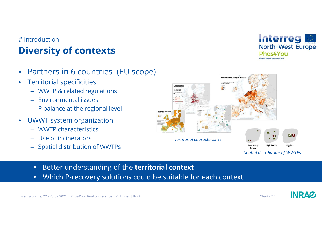## # Introduction**Diversity of contexts**

- •Partners in 6 countries (EU scope)
- $\bullet$  Territorial specificities
	- WWTP & related regulations
	- Environmental issues
	- P balance at the regional level
- $\bullet$  UWWT system organization
	- WWTP characteristics
	- Use of incinerators
	- Spatial distribution of WWTPs





- $\bullet$ Better understanding of the **territorial context**
- •Which P-recovery solutions could be suitable for each context

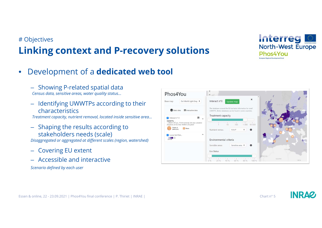## # Objectives**Linking context and P-recovery solutions**



- 
- 

- 
- 
- 





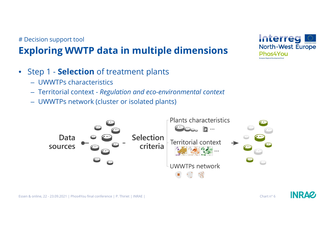## # Decision support tool**Exploring WWTP data in multiple dimensions**

- Step 1 **Selection** of treatment plants
	- UWWTPs characteristics
	- Territorial context *Regulation and eco-environmental context*
	- UWWTPs network (cluster or isolated plants)





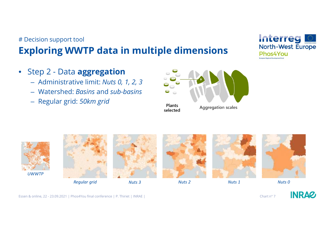## # Decision support tool**Exploring WWTP data in multiple dimensions**

- Step 2 Data **aggregation**
	- Administrative limit: *Nuts 0, 1, 2, 3*
	- Watershed: *Basins* and *sub-basins*
	- Regular grid: *50km grid*







*Regular grid*



*Nuts <sup>3</sup>*



*Nuts <sup>2</sup> Nuts <sup>1</sup> Nuts <sup>0</sup>*







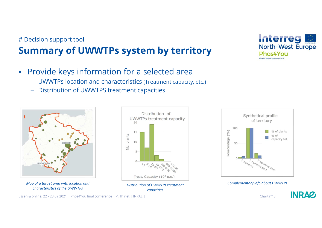#### # Decision support tool

## **Summary of UWWTPs system by territory**

- $\bullet$  Provide keys information for a selected area
	- UWWTPs location and characteristics (Treatment capacity, etc.)
	- Distribution of UWWTPS treatment capacities



*characteristics of the UWWTPs*



*Distribution of UWWTPs treatment capacities*





Interreg

Phos4You

**North-West Europe** 

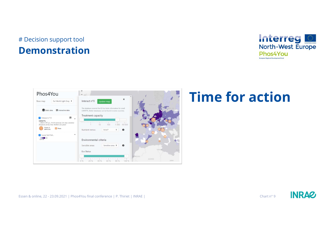## # Decision support tool**Demonstration**





## **Time for action**

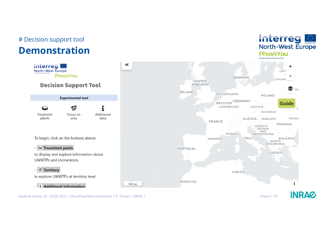## # Decision support tool

## **Demonstration**



**Interreg** 

North-West Europe

Phos4You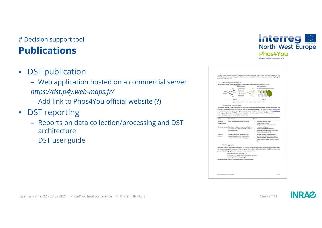## # Decision support tool**Publications**

 $\bullet$ DST publication

> – Web application hosted on a commercial server *https://dst.p4y.web-maps.fr/*

- Add link to Phos4You official website (?)
- $\bullet$  DST reporting
	- Reports on data collection/processing and DST architecture
	- DST user guide

| The DST offers two approaches to the wastewater treatment data. The first and main one is based on the<br>UWWTPs themselves as an entry point. The second use areas (administrative areas, watersheds, or regular grid)<br>to interact with databases.<br>1.1 Treatment plants approach<br>The treatment plants approach is based on two essential components, summarized in Figure 1.<br>Selection criteria<br>Data aggregation<br>No. Plants   Textinent capacity of selected plants<br><b>Furth (furactivistics)</b><br><b>Ob. 0-</b><br>Duta<br><b>Industrial contract</b><br><b>SOURCES</b><br>With the fight-<br><b>UNIVIPY retrend</b><br>* * *<br>Step 01<br>Step 02<br>Figure 1: Schema of the "treatment plants" approach of the DST.<br>- The selection of treatment plants<br>The website provides a user-friendly tool for exploring wastewater treatment data in multiple dimensions. The<br>underlying database contains information for both UWWTPs and incinerators. For UWWTPs, several data sources<br>are available to combine spatial coverage and data accuracy. The parameters for filtering the data are gathered<br>in three groups (Table 1): UWWTPs chorocteristics, the territorial context, and the UWWTPs network.<br>Table 1: List of criberia used in the DST to filter UWWTPs data.<br>Topic<br>Description<br>Criteria<br>UWWTPs<br>Main characteristics of the UWWTPs<br>Treatment capacity (p.g.)<br>Phosphorous removal<br>characteristics<br>Phosphorous removal performance<br>Territorial context Regulation and eco-environmental local or<br>P recovery obligation<br>$\sim$<br>Sensitive areas for phosphorous<br>regional context of the UWWTPs and their<br>Ecological water quality of watersheds<br>discharge points<br>Livestock density (nuts 2)<br><b>UWWTPs</b><br>Spatial organization of the UWWTPs<br>Number of plants located within a<br>specific radius distance of each plant.<br>network based on their proximity for<br>network<br>Sum of capacities of the plants located<br>cluster identification or isolated plants<br>within a specific radius distance of each<br>plant<br>- The data aggregation<br>By default, the DST returns a simple map of the location of the plants selected. An additional aggregation step<br>allows summarizing information at a different spatial scale and with different variables. The DST provides three<br>groups of spatial aggregation further divided into several scale level:<br>Administrative limit: Nuts 0, 1, 2, 3<br>Wotershed from Ecrips: Basins districts and sub-basins<br>×.<br>Regular grid: SOkm hexagonal grid<br>Figure 2 shows an example of data aggregated at different scales: |  | European Regional Development Fund |
|----------------------------------------------------------------------------------------------------------------------------------------------------------------------------------------------------------------------------------------------------------------------------------------------------------------------------------------------------------------------------------------------------------------------------------------------------------------------------------------------------------------------------------------------------------------------------------------------------------------------------------------------------------------------------------------------------------------------------------------------------------------------------------------------------------------------------------------------------------------------------------------------------------------------------------------------------------------------------------------------------------------------------------------------------------------------------------------------------------------------------------------------------------------------------------------------------------------------------------------------------------------------------------------------------------------------------------------------------------------------------------------------------------------------------------------------------------------------------------------------------------------------------------------------------------------------------------------------------------------------------------------------------------------------------------------------------------------------------------------------------------------------------------------------------------------------------------------------------------------------------------------------------------------------------------------------------------------------------------------------------------------------------------------------------------------------------------------------------------------------------------------------------------------------------------------------------------------------------------------------------------------------------------------------------------------------------------------------------------------------------------------------------------------------------------------------------------------------------------------------------------------------------------------------------------------------------------------------------------------------------------------------------------------------------------------------------------|--|------------------------------------|
|                                                                                                                                                                                                                                                                                                                                                                                                                                                                                                                                                                                                                                                                                                                                                                                                                                                                                                                                                                                                                                                                                                                                                                                                                                                                                                                                                                                                                                                                                                                                                                                                                                                                                                                                                                                                                                                                                                                                                                                                                                                                                                                                                                                                                                                                                                                                                                                                                                                                                                                                                                                                                                                                                                          |  |                                    |
|                                                                                                                                                                                                                                                                                                                                                                                                                                                                                                                                                                                                                                                                                                                                                                                                                                                                                                                                                                                                                                                                                                                                                                                                                                                                                                                                                                                                                                                                                                                                                                                                                                                                                                                                                                                                                                                                                                                                                                                                                                                                                                                                                                                                                                                                                                                                                                                                                                                                                                                                                                                                                                                                                                          |  |                                    |
|                                                                                                                                                                                                                                                                                                                                                                                                                                                                                                                                                                                                                                                                                                                                                                                                                                                                                                                                                                                                                                                                                                                                                                                                                                                                                                                                                                                                                                                                                                                                                                                                                                                                                                                                                                                                                                                                                                                                                                                                                                                                                                                                                                                                                                                                                                                                                                                                                                                                                                                                                                                                                                                                                                          |  |                                    |
|                                                                                                                                                                                                                                                                                                                                                                                                                                                                                                                                                                                                                                                                                                                                                                                                                                                                                                                                                                                                                                                                                                                                                                                                                                                                                                                                                                                                                                                                                                                                                                                                                                                                                                                                                                                                                                                                                                                                                                                                                                                                                                                                                                                                                                                                                                                                                                                                                                                                                                                                                                                                                                                                                                          |  |                                    |
|                                                                                                                                                                                                                                                                                                                                                                                                                                                                                                                                                                                                                                                                                                                                                                                                                                                                                                                                                                                                                                                                                                                                                                                                                                                                                                                                                                                                                                                                                                                                                                                                                                                                                                                                                                                                                                                                                                                                                                                                                                                                                                                                                                                                                                                                                                                                                                                                                                                                                                                                                                                                                                                                                                          |  |                                    |
|                                                                                                                                                                                                                                                                                                                                                                                                                                                                                                                                                                                                                                                                                                                                                                                                                                                                                                                                                                                                                                                                                                                                                                                                                                                                                                                                                                                                                                                                                                                                                                                                                                                                                                                                                                                                                                                                                                                                                                                                                                                                                                                                                                                                                                                                                                                                                                                                                                                                                                                                                                                                                                                                                                          |  |                                    |
|                                                                                                                                                                                                                                                                                                                                                                                                                                                                                                                                                                                                                                                                                                                                                                                                                                                                                                                                                                                                                                                                                                                                                                                                                                                                                                                                                                                                                                                                                                                                                                                                                                                                                                                                                                                                                                                                                                                                                                                                                                                                                                                                                                                                                                                                                                                                                                                                                                                                                                                                                                                                                                                                                                          |  |                                    |
|                                                                                                                                                                                                                                                                                                                                                                                                                                                                                                                                                                                                                                                                                                                                                                                                                                                                                                                                                                                                                                                                                                                                                                                                                                                                                                                                                                                                                                                                                                                                                                                                                                                                                                                                                                                                                                                                                                                                                                                                                                                                                                                                                                                                                                                                                                                                                                                                                                                                                                                                                                                                                                                                                                          |  |                                    |
| Decision Support Tool User Buide<br>2/13                                                                                                                                                                                                                                                                                                                                                                                                                                                                                                                                                                                                                                                                                                                                                                                                                                                                                                                                                                                                                                                                                                                                                                                                                                                                                                                                                                                                                                                                                                                                                                                                                                                                                                                                                                                                                                                                                                                                                                                                                                                                                                                                                                                                                                                                                                                                                                                                                                                                                                                                                                                                                                                                 |  |                                    |



Interreg

**North-West Europe** 

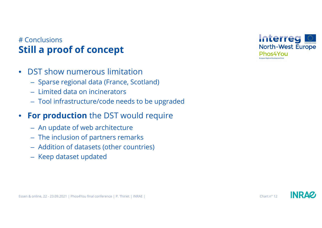## # Conclusions**Still a proof of concept**

- $\bullet$  DST show numerous limitation
	- Sparse regional data (France, Scotland)
	- Limited data on incinerators
	- Tool infrastructure/code needs to be upgraded
- $\bullet$  **For production** the DST would require
	- An update of web architecture
	- The inclusion of partners remarks
	- Addition of datasets (other countries)
	- Keep dataset updated



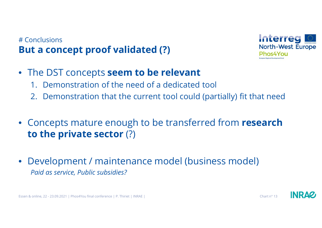## # Conclusions**But a concept proof validated (?)**



- The DST concepts **seem to be relevant**
	- 1. Demonstration of the need of a dedicated tool
	- 2. Demonstration that the current tool could (partially) fit that need
- Concepts mature enough to be transferred from **research to the private sector** (?)
- $\bullet$  Development / maintenance model (business model) *Paid as service, Public subsidies?*